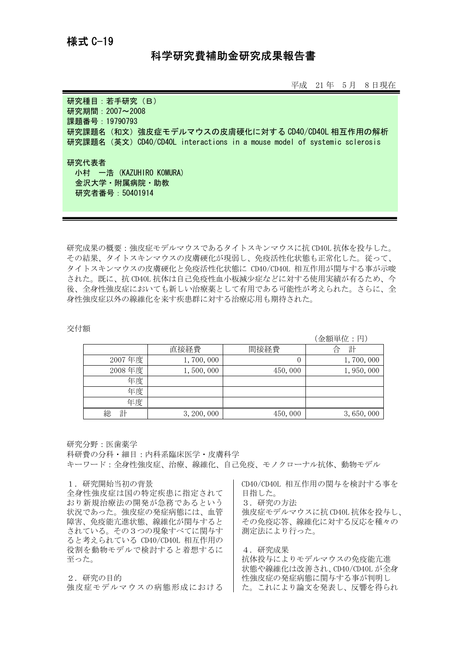## 科学研究費補助金研究成果報告書

平成 21 年 5 月 8 日現在

研究種目: 若手研究 (B) 研究期間:2007~2008 課題番号:19790793 研究課題名(和文)強皮症モデルマウスの皮膚硬化に対する CD40/CD40L 相互作用の解析 研究課題名(英文)CD40/CD40L interactions in a mouse model of systemic sclerosis

研究代表者 小村 一浩 (KAZUHIRO KOMURA) 金沢大学・附属病院・助教 研究者番号:50401914

研究成果の概要:強皮症モデルマウスであるタイトスキンマウスに抗 CD40L 抗体を投与した。 その結果、タイトスキンマウスの皮膚硬化が現弱し、免疫活性化状態も正常化した。従って、 タイトスキンマウスの皮膚硬化と免疫活性化状態に CD40/CD40L 相互作用が関与する事が示唆 された。既に、抗 CD40L 抗体は自己免疫性血小板減少症などに対する使用実績が有るため、今 後、全身性強皮症においても新しい治療薬として有用である可能性が考えられた。さらに、全 身性強皮症以外の線維化を来す疾患群に対する治療応用も期待された。

## 交付額

(金額単位:円)

|        | 直接経費        | 間接経費    | 計<br>Έ    |
|--------|-------------|---------|-----------|
| 2007年度 | 1,700,000   | 0       | 1,700,000 |
| 2008年度 | 1,500,000   | 450,000 | 1,950,000 |
| 年度     |             |         |           |
| 年度     |             |         |           |
| 年度     |             |         |           |
| 計<br>総 | 3, 200, 000 | 450,000 | 3,650,000 |

## 研究分野:医歯薬学

科研費の分科・細目:内科系臨床医学・皮膚科学

キーワード:全身性強皮症、治療、線維化、自己免疫、モノクローナル抗体、動物モデル

## 1.研究開始当初の背景

全身性強皮症は国の特定疾患に指定されて おり新規治療法の開発が急務であるという 状況であった。強皮症の発症病態には、血管 障害、免疫能亢進状態、線維化が関与すると されている。その3つの現象すべてに関与す ると考えられている CD40/CD40L 相互作用の 役割を動物モデルで検討すると着想するに 至った。

2.研究の目的 強皮症モデルマウスの病態形成における CD40/CD40L 相互作用の関与を検討する事を 目指した。 3.研究の方法 強皮症モデルマウスに抗 CD40L 抗体を投与し、 その免疫応答、線維化に対する反応を種々の 測定法により行った。

4.研究成果 抗体投与によりモデルマウスの免疫能亢進 状態や線維化は改善され、CD40/CD40L が全身 性強皮症の発症病態に関与する事が判明し た。これにより論文を発表し、反響を得られ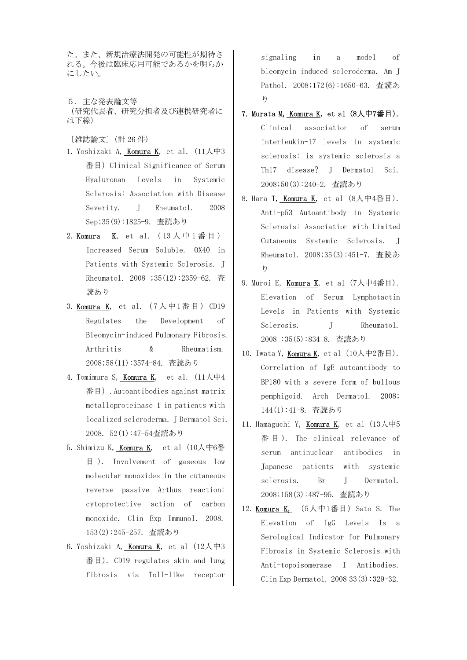た。また、新規治療法開発の可能性が期待さ れる。今後は臨床応用可能であるかを明らか にしたい。

5.主な発表論文等 (研究代表者、研究分担者及び連携研究者に は下線)

〔雑誌論文〕(計 26 件)

- 1. Yoshizaki A, Komura K, et al.(11人中3 番目) Clinical Significance of Serum Hyaluronan Levels in Systemic Sclerosis: Association with Disease Severity. J Rheumatol. 2008 Sep;35(9):1825-9. 査読あり
- 2. **Komura K**, et al.  $(13)$   $\downarrow$  中 1 番 目 ) Increased Serum Soluble. OX40 in Patients with Systemic Sclerosis. J Rheumatol. 2008 ;35(12):2359-62. 査 読あり
- 3. Komura K, et al. (7人中1番目) CD19 Regulates the Development of Bleomycin-induced Pulmonary Fibrosis. Arthritis & Rheumatism. 2008;58(11):3574-84. 査読あり
- 4. Tomimura S, Komura K, et al.(11人中4 番目).Autoantibodies against matrix metalloproteinase-1 in patients with localized scleroderma. J Dermatol Sci. 2008. 52(1):47-54査読あり
- 5. Shimizu K, Komura K, et al (10人中6番 目 ). Involvement of gaseous low molecular monoxides in the cutaneous reverse passive Arthus reaction: cytoprotective action of carbon monoxide. Clin Exp Immunol. 2008. 153(2):245-257. 査読あり
- 6. Yoshizaki A, Komura K, et al  $(12 \text{ }\bigwedge \text{ }\uparrow 3)$ 番目). CD19 regulates skin and lung fibrosis via Toll-like receptor

signaling in a model of bleomycin-induced scleroderma. Am J Pathol. 2008;172(6):1650-63. 査読あ り

- 7. Murata M, Komura K, et al (8人中7番目). Clinical association of serum interleukin-17 levels in systemic sclerosis: is systemic sclerosis a Th17 disease? J Dermatol Sci. 2008;50(3):240-2. 査読あり
- 8. Hara T, Komura K, et al (8人中4番目). Anti-p53 Autoantibody in Systemic Sclerosis: Association with Limited Cutaneous Systemic Sclerosis. J Rheumatol. 2008;35(3):451-7. 査読あ り
- 9. Muroi E, Komura K, et al (7人中4番目). Elevation of Serum Lymphotactin Levels in Patients with Systemic Sclerosis. J Rheumatol. 2008 :35(5):834-8. 査読あり
- 10. Iwata Y, Komura K, et al  $(10)$  (中2番目). Correlation of IgE autoantibody to BP180 with a severe form of bullous pemphigoid. Arch Dermatol. 2008; 144(1):41-8. 査読あり
- 11. Hamaguchi Y, Komura K, et al  $(13)\sqrt{+5}$ 番 目 ). The clinical relevance of serum antinuclear antibodies in Japanese patients with systemic sclerosis. Br J Dermatol. 2008;158(3):487-95. 査読あり
- 12. **Komura K,**  $(5\text{ A} + 1\text{ )}$  Sato S. The Elevation of IgG Levels Is a Serological Indicator for Pulmonary Fibrosis in Systemic Sclerosis with Anti-topoisomerase I Antibodies. Clin Exp Dermatol. 2008 33(3):329-32.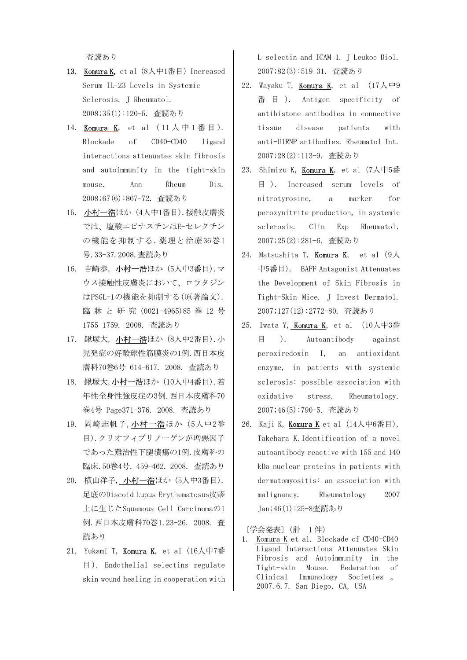査読あり

- 13. Komura K, et al (8人中1番目) Increased Serum IL-23 Levels in Systemic Sclerosis. J Rheumatol. 2008;35(1):120-5. 査読あり
- 14. Komura K, et al  $(11)$   $\uparrow$   $\uparrow$  1 番 目 ). Blockade of CD40-CD40 ligand interactions attenuates skin fibrosis and autoimmunity in the tight-skin mouse. Ann Rheum Dis. 2008;67(6):867-72. 査読あり
- 15. 小村一浩ほか (4人中1番目). 接触皮膚炎 では、塩酸エピナスチンはE-セレクチン の機能を抑制する.薬理と治療36巻1 号.33-37.2008.査読あり
- 16. 吉崎歩, 小村一浩ほか(5人中3番目).マ ウス接触性皮膚炎において、ロラタジン はPSGL-1の機能を抑制する(原著論文). 臨 牀 と 研 究 (0021-4965)85 巻 12 号 1755-1759. 2008. 査読あり
- 17. 鍬塚大, 小村一浩ほか (8人中2番目).小 児発症の好酸球性筋膜炎の1例.西日本皮 膚科70巻6号 614-617. 2008. 査読あり
- 18. 鍬塚大,小村一浩ほか (10人中4番目).若 年性全身性強皮症の3例.西日本皮膚科70 巻4号 Page371-376. 2008. 査読あり
- 19. 岡崎志帆子,小村一浩ほか(5人中2番 目).クリオフィブリノーゲンが増悪因子 であった難治性下腿潰瘍の1例.皮膚科の 臨床.50巻4号. 459-462. 2008. 査読あり
- 20. 横山洋子, 小村一浩ほか(5人中3番目). 足底のDiscoid Lupus Erythematosus皮疹 上に生じたSquamous Cell Carcinomaの1 例.西日本皮膚科70巻1.23-26. 2008. 査 読あり
- 21. Yukami T, Komura K, et al (16人中7番 目 ). Endothelial selectins regulate skin wound healing in cooperation with

L-selectin and ICAM-1. J Leukoc Biol. 2007;82(3):519-31. 査読あり

- 22. Wayaku T, Komura K, et al  $(17/\sqrt{+9})$ 番 目 ). Antigen specificity of antihistone antibodies in connective tissue disease patients with anti-U1RNP antibodies. Rheumatol Int. 2007;28(2):113-9. 査読あり
- 23. Shimizu K, Komura K, et al (7人中5番 目 ). Increased serum levels of nitrotyrosine, a marker for peroxynitrite production, in systemic sclerosis. Clin Exp Rheumatol. 2007;25(2):281-6. 査読あり
- 24. Matsushita T, Komura K, et al  $(9\text{\AA})$ 中5番目). BAFF Antagonist Attenuates the Development of Skin Fibrosis in Tight-Skin Mice. J Invest Dermatol. 2007;127(12):2772-80. 査読あり
- 25. Iwata Y, Komura K, et al (10人中3番 目 ). Autoantibody against peroxiredoxin I, an antioxidant enzyme, in patients with systemic sclerosis: possible association with oxidative stress. Rheumatology. 2007;46(5):790-5. 査読あり
- 26. Kaji K, Komura K et al  $(14/\sqrt{164})$ , Takehara K.Identification of a novel autoantibody reactive with 155 and 140 kDa nuclear proteins in patients with dermatomyositis: an association with malignancy. Rheumatology 2007 Jan;46(1):25-8査読あり

〔学会発表〕(計 1 件)

1. Komura K et al. Blockade of CD40-CD40 Ligand Interactions Attenuates Skin Fibrosis and Autoimmunity in the Tight-skin Mouse. Fedaration of Clinical Immunology Societies 。 2007.6.7. San Diego, CA, USA